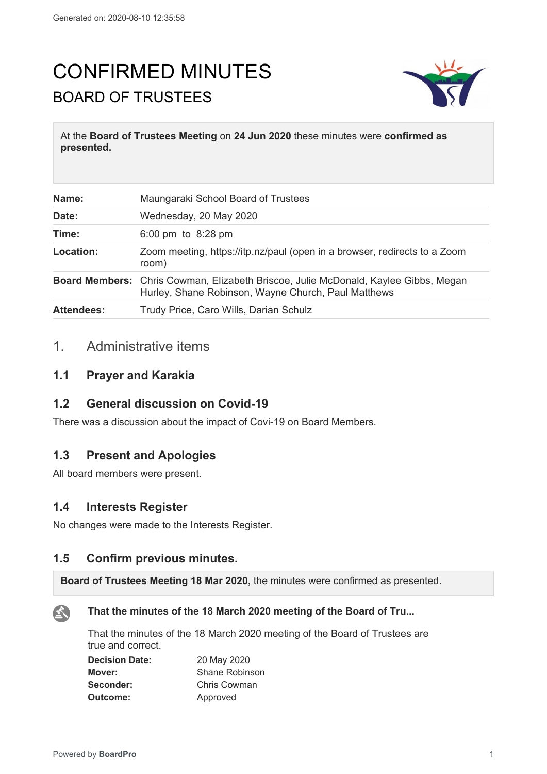# CONFIRMED MINUTES BOARD OF TRUSTEES



At the **Board of Trustees Meeting** on **24 Jun 2020** these minutes were **confirmed as presented.**

| Name:             | Maungaraki School Board of Trustees                                                                                                        |
|-------------------|--------------------------------------------------------------------------------------------------------------------------------------------|
| Date:             | Wednesday, 20 May 2020                                                                                                                     |
| Time:             | 6:00 pm to $8:28$ pm                                                                                                                       |
| Location:         | Zoom meeting, https://itp.nz/paul (open in a browser, redirects to a Zoom<br>room)                                                         |
|                   | Board Members: Chris Cowman, Elizabeth Briscoe, Julie McDonald, Kaylee Gibbs, Megan<br>Hurley, Shane Robinson, Wayne Church, Paul Matthews |
| <b>Attendees:</b> | Trudy Price, Caro Wills, Darian Schulz                                                                                                     |

## 1. Administrative items

### **1.1 Prayer and Karakia**

#### **1.2 General discussion on Covid-19**

There was a discussion about the impact of Covi-19 on Board Members.

## **1.3 Present and Apologies**

All board members were present.

## **1.4 Interests Register**

No changes were made to the Interests Register.

## **1.5 Confirm previous minutes.**

**Board of Trustees Meeting 18 Mar 2020,** the minutes were confirmed as presented.



#### **That the minutes of the 18 March 2020 meeting of the Board of Tru...**

That the minutes of the 18 March 2020 meeting of the Board of Trustees are true and correct.

| <b>Decision Date:</b> | 20 May 2020    |
|-----------------------|----------------|
| Mover:                | Shane Robinson |
| Seconder:             | Chris Cowman   |
| Outcome:              | Approved       |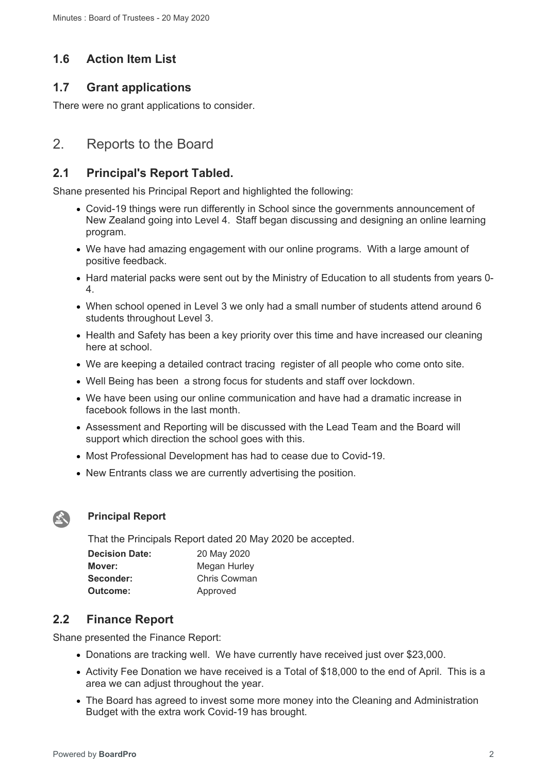## **1.6 Action Item List**

## **1.7 Grant applications**

There were no grant applications to consider.

## 2. Reports to the Board

#### **2.1 Principal's Report Tabled.**

Shane presented his Principal Report and highlighted the following:

- Covid-19 things were run differently in School since the governments announcement of New Zealand going into Level 4. Staff began discussing and designing an online learning program.
- We have had amazing engagement with our online programs. With a large amount of positive feedback.
- Hard material packs were sent out by the Ministry of Education to all students from years 0-4.
- When school opened in Level 3 we only had a small number of students attend around 6 students throughout Level 3.
- Health and Safety has been a key priority over this time and have increased our cleaning here at school.
- We are keeping a detailed contract tracing register of all people who come onto site.
- Well Being has been a strong focus for students and staff over lockdown.
- We have been using our online communication and have had a dramatic increase in facebook follows in the last month.
- Assessment and Reporting will be discussed with the Lead Team and the Board will support which direction the school goes with this.
- Most Professional Development has had to cease due to Covid-19.
- New Entrants class we are currently advertising the position.



#### **Principal Report**

That the Principals Report dated 20 May 2020 be accepted.

| <b>Decision Date:</b> | 20 May 2020  |
|-----------------------|--------------|
| Mover:                | Megan Hurley |
| Seconder:             | Chris Cowman |
| Outcome:              | Approved     |

## **2.2 Finance Report**

Shane presented the Finance Report:

- Donations are tracking well. We have currently have received just over \$23,000.
- Activity Fee Donation we have received is a Total of \$18,000 to the end of April. This is a area we can adjust throughout the year.
- The Board has agreed to invest some more money into the Cleaning and Administration Budget with the extra work Covid-19 has brought.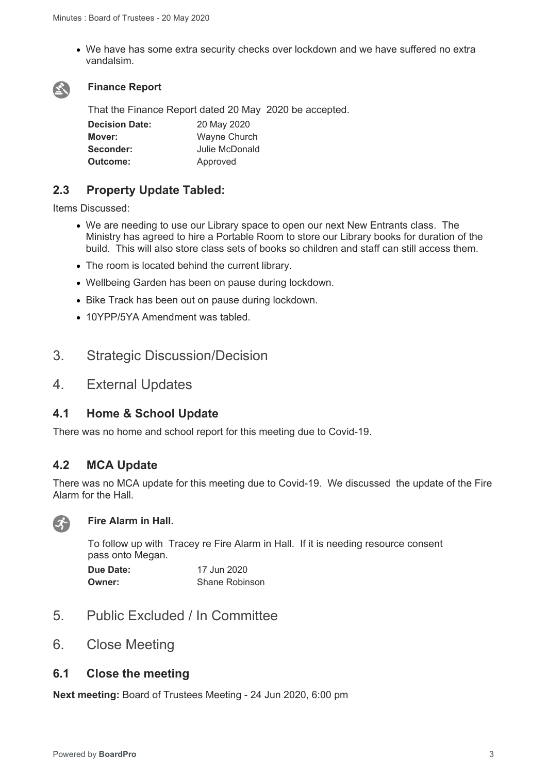We have has some extra security checks over lockdown and we have suffered no extra vandalsim.



#### **Finance Report**

That the Finance Report dated 20 May 2020 be accepted.

| <b>Decision Date:</b> | 20 May 2020    |  |
|-----------------------|----------------|--|
| Mover:                | Wayne Church   |  |
| Seconder:             | Julie McDonald |  |
| Outcome:              | Approved       |  |

### **2.3 Property Update Tabled:**

Items Discussed:

- We are needing to use our Library space to open our next New Entrants class. The Ministry has agreed to hire a Portable Room to store our Library books for duration of the build. This will also store class sets of books so children and staff can still access them.
- The room is located behind the current library.
- Wellbeing Garden has been on pause during lockdown.
- Bike Track has been out on pause during lockdown.
- 10YPP/5YA Amendment was tabled.

## 3. Strategic Discussion/Decision

4. External Updates

#### **4.1 Home & School Update**

There was no home and school report for this meeting due to Covid-19.

## **4.2 MCA Update**

There was no MCA update for this meeting due to Covid-19. We discussed the update of the Fire Alarm for the Hall.



#### **Fire Alarm in Hall.**

To follow up with Tracey re Fire Alarm in Hall. If it is needing resource consent pass onto Megan.

| Due Date: | 17 Jun 2020           |
|-----------|-----------------------|
| Owner:    | <b>Shane Robinson</b> |

- 5. Public Excluded / In Committee
- 6. Close Meeting

#### **6.1 Close the meeting**

**Next meeting:** Board of Trustees Meeting - 24 Jun 2020, 6:00 pm